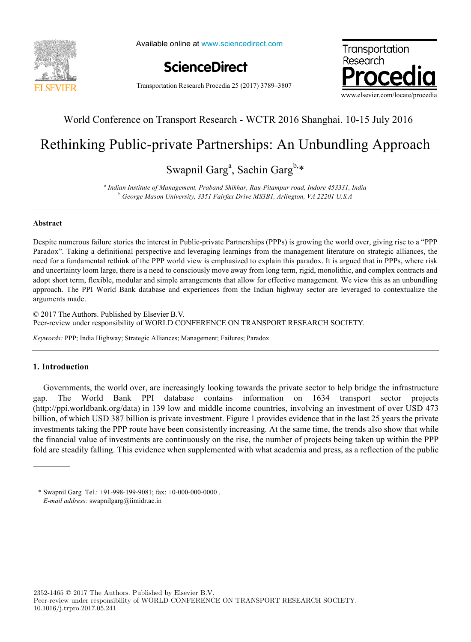

Available online at www.sciencedirect.com





# Transportation Research Procedia 25 (2017) 3789–3807

### $W(16, 2) = \mathbb{F}$  (Research - WCTR 2016 Shanghai. 10-15 July 2016 World Conference on Transport Research - WCTR 2016 Shanghai. 10-15 July 2016

# Rethinking Public-private Partnerships: An Unbundling Approach Rethinking Public-private Partnerships: An Unbundling Approach

 $S = \begin{bmatrix} 1 & 0 & 0 & 0 & 1 \\ 0 & 0 & 0 & 0 & 0 \\ 0 & 0 & 0 & 0 & 0 \\ 0 & 0 & 0 & 0 & 0 \\ 0 & 0 & 0 & 0 & 0 \\ 0 & 0 & 0 & 0 & 0 \\ 0 & 0 & 0 & 0 & 0 \\ 0 & 0 & 0 & 0 & 0 \\ 0 & 0 & 0 & 0 & 0 \\ 0 & 0 & 0 & 0 & 0 \\ 0 & 0 & 0 & 0 & 0 \\ 0 & 0 & 0 & 0 & 0 \\ 0 & 0 & 0 & 0 & 0 \\ 0 & 0 & 0 & 0 & 0 & 0$ *<sup>a</sup> Indian Institute of Management, Praband Shikhar, Rau-Pitampur road, Indore 453331, India* Swapnil Garg<sup>a</sup>, Sachin Garg<sup>b,\*</sup>

<sup>b</sup> *George Mason University, 3351 Fairfax Drive MS3B1, Arlington, VA 22201 U.S.A <sup>a</sup> Indian Institute of Management, Praband Shikhar, Rau-Pitampur road, Indore 453331, India* <sup>b</sup> *George Mason University, 3351 Fairfax Drive MS3B1, Arlington, VA 22201 U.S.A*

#### **Abstract**

Despite numerous failure stories the interest in Public-private Partnerships (PPPs) is growing the world over, giving rise to a "PPP Paradox". Taking a definitional perspective and leveraging learnings from the management literature on strategic alliances, the need for a fundamental rethink of the PPP world view is emphasized to explain this paradox. It is argued that in PPPs, where risk and uncertainty loom large, there is a need to consciously move away from long term, rigid, monolithic, and complex contracts and adopt short term, flexible, modular and simple arrangements that allow for effective management. We view this as an unbundling approach. The PPI World Bank database and experiences from the Indian highway sector are leveraged to contextualize the arguments made.

© 2017 The Authors. Published by Elsevier B.V. © 2017 The Authors. Published by Elsevier B.V. Peer-review under responsibility of WORLD CONFERENCE ON TRANSPORT RESEARCH SOCIETY. Peer-review under responsibility of WORLD CONFERENCE ON TRANSPORT RESEARCH SOCIETY. © 2017 The Authors. Published by Elsevier B.V. Peer-review under responsibility of WORLD CONFERENCE ON TRANSPORT RESEARCH SOCIETY.

*Keywords:* PPP; India Highway; Strategic Alliances; Management; Failures; Paradox *Keywords:* PPP; India Highway; Strategic Alliances; Management; Failures; Paradox

# **1. Introduction**

Governments, the world over, are increasingly looking towards the private sector to help bridge the infrastructure gap. The World Bank PPI database contains information on 1634 transport sector projects (http://ppi.worldbank.org/data) in 139 low and middle income countries, involving an investment of over USD 473 billion, of which USD 387 billion is private investment. Figure 1 provides evidence that in the last 25 years the private investments taking the PPP route have been consistently increasing. At the same time, the trends also show that while the financial value of investments are continuously on the rise, the number of projects being taken up within the PPP fold are steadily falling. This evidence when supplemented with what academia and press, as a reflection of the public

<sup>\*</sup> Swapnil Garg Tel.: +91-998-199-9081; fax: +0-000-000-0000 . *E-mail address:* swapnilgarg@iimidr.ac.in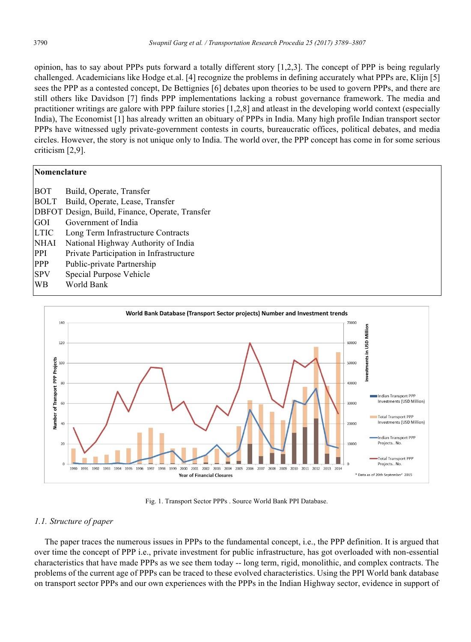opinion, has to say about PPPs puts forward a totally different story [1,2,3]. The concept of PPP is being regularly challenged. Academicians like Hodge et.al. [4] recognize the problems in defining accurately what PPPs are, Klijn [5] sees the PPP as a contested concept, De Bettignies [6] debates upon theories to be used to govern PPPs, and there are still others like Davidson [7] finds PPP implementations lacking a robust governance framework. The media and practitioner writings are galore with PPP failure stories [1,2,8] and atleast in the developing world context (especially India), The Economist [1] has already written an obituary of PPPs in India. Many high profile Indian transport sector PPPs have witnessed ugly private-government contests in courts, bureaucratic offices, political debates, and media circles. However, the story is not unique only to India. The world over, the PPP concept has come in for some serious criticism [2,9].

# **Nomenclature**

BOT Build, Operate, Transfer BOLT Build, Operate, Lease, Transfer DBFOT Design, Build, Finance, Operate, Transfer GOI Government of India LTIC Long Term Infrastructure Contracts NHAI National Highway Authority of India PPI Private Participation in Infrastructure PPP Public-private Partnership SPV Special Purpose Vehicle WB World Bank



Fig. 1. Transport Sector PPPs . Source World Bank PPI Database.

# *1.1. Structure of paper*

The paper traces the numerous issues in PPPs to the fundamental concept, i.e., the PPP definition. It is argued that over time the concept of PPP i.e., private investment for public infrastructure, has got overloaded with non-essential characteristics that have made PPPs as we see them today -- long term, rigid, monolithic, and complex contracts. The problems of the current age of PPPs can be traced to these evolved characteristics. Using the PPI World bank database on transport sector PPPs and our own experiences with the PPPs in the Indian Highway sector, evidence in support of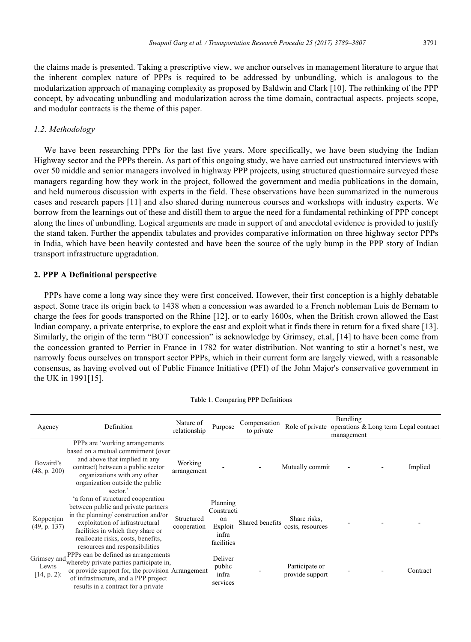the claims made is presented. Taking a prescriptive view, we anchor ourselves in management literature to argue that the inherent complex nature of PPPs is required to be addressed by unbundling, which is analogous to the modularization approach of managing complexity as proposed by Baldwin and Clark [10]. The rethinking of the PPP concept, by advocating unbundling and modularization across the time domain, contractual aspects, projects scope, and modular contracts is the theme of this paper.

### *1.2. Methodology*

We have been researching PPPs for the last five years. More specifically, we have been studying the Indian Highway sector and the PPPs therein. As part of this ongoing study, we have carried out unstructured interviews with over 50 middle and senior managers involved in highway PPP projects, using structured questionnaire surveyed these managers regarding how they work in the project, followed the government and media publications in the domain, and held numerous discussion with experts in the field. These observations have been summarized in the numerous cases and research papers [11] and also shared during numerous courses and workshops with industry experts. We borrow from the learnings out of these and distill them to argue the need for a fundamental rethinking of PPP concept along the lines of unbundling. Logical arguments are made in support of and anecdotal evidence is provided to justify the stand taken. Further the appendix tabulates and provides comparative information on three highway sector PPPs in India, which have been heavily contested and have been the source of the ugly bump in the PPP story of Indian transport infrastructure upgradation.

# **2. PPP A Definitional perspective**

PPPs have come a long way since they were first conceived. However, their first conception is a highly debatable aspect. Some trace its origin back to 1438 when a concession was awarded to a French nobleman Luis de Bernam to charge the fees for goods transported on the Rhine [12], or to early 1600s, when the British crown allowed the East Indian company, a private enterprise, to explore the east and exploit what it finds there in return for a fixed share [13]. Similarly, the origin of the term "BOT concession" is acknowledge by Grimsey, et.al, [14] to have been come from the concession granted to Perrier in France in 1782 for water distribution. Not wanting to stir a hornet's nest, we narrowly focus ourselves on transport sector PPPs, which in their current form are largely viewed, with a reasonable consensus, as having evolved out of Public Finance Initiative (PFI) of the John Major's conservative government in the UK in 1991[15].

| Agency                                 | Definition                                                                                                                                                                                                                                                      | Nature of<br>relationship | Purpose                                                        | Compensation<br>to private | Role of private operations & Long term Legal contract | <b>Bundling</b><br>management |          |
|----------------------------------------|-----------------------------------------------------------------------------------------------------------------------------------------------------------------------------------------------------------------------------------------------------------------|---------------------------|----------------------------------------------------------------|----------------------------|-------------------------------------------------------|-------------------------------|----------|
| Bovaird's<br>(48, p. 200)              | PPPs are 'working arrangements<br>based on a mutual commitment (over<br>and above that implied in any<br>contract) between a public sector<br>organizations with any other<br>organization outside the public<br>sector.'                                       | Working<br>arrangement    |                                                                |                            | Mutually commit                                       |                               | Implied  |
| Koppenjan<br>(49, p. 137)              | 'a form of structured cooperation<br>between public and private partners<br>in the planning/construction and/or<br>exploitation of infrastructural<br>facilities in which they share or<br>reallocate risks, costs, benefits,<br>resources and responsibilities | Structured<br>cooperation | Planning<br>Constructi<br>on<br>Exploit<br>infra<br>facilities | Shared benefits            | Share risks.<br>costs, resources                      |                               |          |
| Grimsey and<br>Lewis<br>$[14, p. 2)$ : | PPPs can be defined as arrangements<br>whereby private parties participate in,<br>or provide support for, the provision Arrangement<br>of infrastructure, and a PPP project<br>results in a contract for a private                                              |                           | Deliver<br>public<br>infra<br>services                         |                            | Participate or<br>provide support                     |                               | Contract |

Table 1. Comparing PPP Definitions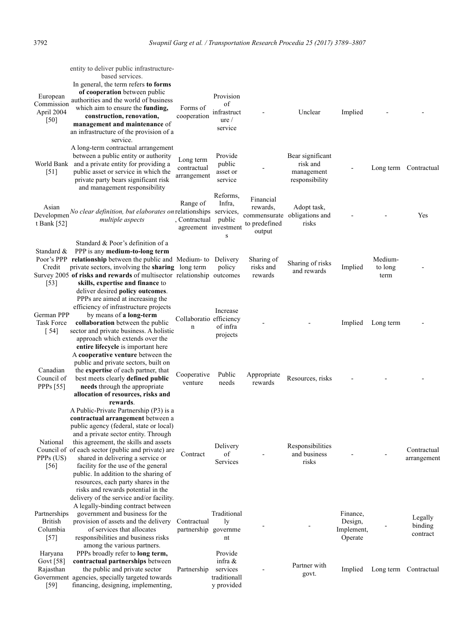| European<br>Commission<br>April 2004<br>[50]                          | entity to deliver public infrastructure-<br>based services.<br>In general, the term refers to forms<br>of cooperation between public<br>authorities and the world of business<br>which aim to ensure the funding,<br>construction, renovation,<br>management and maintenance of<br>an infrastructure of the provision of a                                                                                                                                      | Forms of<br>cooperation                 | Provision<br>of<br>infrastruct<br>ure /<br>service              |                                                                  | Unclear                                                      | Implied                                      |                            |                                |
|-----------------------------------------------------------------------|-----------------------------------------------------------------------------------------------------------------------------------------------------------------------------------------------------------------------------------------------------------------------------------------------------------------------------------------------------------------------------------------------------------------------------------------------------------------|-----------------------------------------|-----------------------------------------------------------------|------------------------------------------------------------------|--------------------------------------------------------------|----------------------------------------------|----------------------------|--------------------------------|
| World Bank<br>[51]                                                    | service.<br>A long-term contractual arrangement<br>between a public entity or authority<br>and a private entity for providing a<br>public asset or service in which the<br>private party bears significant risk<br>and management responsibility                                                                                                                                                                                                                | Long term<br>contractual<br>arrangement | Provide<br>public<br>asset or<br>service                        |                                                                  | Bear significant<br>risk and<br>management<br>responsibility |                                              |                            | Long term Contractual          |
| Asian<br>t Bank $[52]$                                                | Developmen No clear definition, but elaborates on relationships services,<br>multiple aspects                                                                                                                                                                                                                                                                                                                                                                   | Range of<br>, Contractual               | Reforms,<br>Infra,<br>public<br>agreement investment<br>S       | Financial<br>rewards,<br>commensurate<br>to predefined<br>output | Adopt task,<br>obligations and<br>risks                      |                                              |                            | Yes                            |
| Standard &<br>Credit<br>$[53]$                                        | Standard & Poor's definition of a<br>PPP is any medium-to-long term<br>Poor's PPP relationship between the public and Medium-to<br>private sectors, involving the <b>sharing</b> long term<br>Survey 2005 of risks and rewards of multisector relationship outcomes<br>skills, expertise and finance to<br>deliver desired policy outcomes.                                                                                                                     |                                         | Delivery<br>policy                                              | Sharing of<br>risks and<br>rewards                               | Sharing of risks<br>and rewards                              | Implied                                      | Medium-<br>to long<br>term |                                |
| German PPP<br><b>Task Force</b><br>$\begin{bmatrix} 54 \end{bmatrix}$ | PPPs are aimed at increasing the<br>efficiency of infrastructure projects<br>by means of <b>a long-term</b><br>collaboration between the public<br>sector and private business. A holistic<br>approach which extends over the<br>entire lifecycle is important here                                                                                                                                                                                             | Collaboratio efficiency<br>$\mathbf n$  | Increase<br>of infra<br>projects                                |                                                                  |                                                              | Implied                                      | Long term                  |                                |
| Canadian<br>Council of<br>PPPs $[55]$                                 | A cooperative venture between the<br>public and private sectors, built on<br>the <b>expertise</b> of each partner, that<br>best meets clearly defined public<br>needs through the appropriate<br>allocation of resources, risks and<br>rewards.                                                                                                                                                                                                                 | Cooperative<br>venture                  | Public<br>needs                                                 | Appropriate<br>rewards                                           | Resources, risks                                             |                                              |                            |                                |
| National<br>PPPs (US)<br>[56]                                         | A Public-Private Partnership (P3) is a<br>contractual arrangement between a<br>public agency (federal, state or local)<br>and a private sector entity. Through<br>this agreement, the skills and assets<br>Council of of each sector (public and private) are<br>shared in delivering a service or<br>facility for the use of the general<br>public. In addition to the sharing of<br>resources, each party shares in the<br>risks and rewards potential in the | Contract                                | Delivery<br>of<br>Services                                      |                                                                  | Responsibilities<br>and business<br>risks                    |                                              |                            | Contractual<br>arrangement     |
| Partnerships<br>British<br>Columbia<br>$[57]$                         | delivery of the service and/or facility.<br>A legally-binding contract between<br>government and business for the<br>provision of assets and the delivery<br>of services that allocates<br>responsibilities and business risks<br>among the various partners.                                                                                                                                                                                                   | Contractual<br>partnership governme     | Traditional<br>ly<br>nt                                         |                                                                  |                                                              | Finance,<br>Design,<br>Implement,<br>Operate |                            | Legally<br>binding<br>contract |
| Haryana<br>Govt $[58]$<br>Rajasthan<br>$[59]$                         | PPPs broadly refer to long term,<br>contractual partnerships between<br>the public and private sector<br>Government agencies, specially targeted towards<br>financing, designing, implementing,                                                                                                                                                                                                                                                                 | Partnership                             | Provide<br>infra $\&$<br>services<br>traditionall<br>y provided |                                                                  | Partner with<br>govt.                                        | Implied                                      |                            | Long term Contractual          |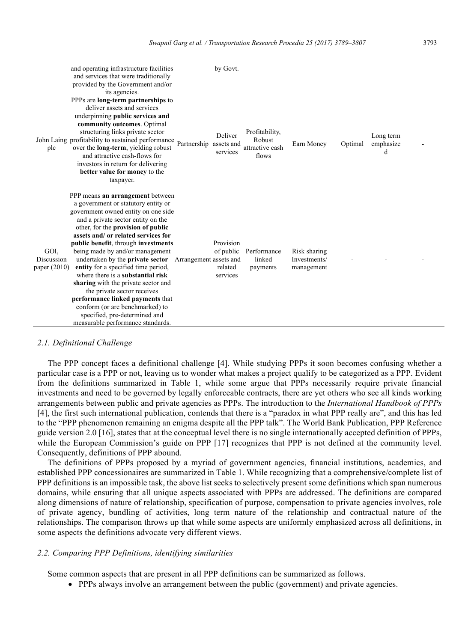| plc                                  | and operating infrastructure facilities<br>and services that were traditionally<br>provided by the Government and/or<br>its agencies.<br>PPPs are long-term partnerships to<br>deliver assets and services<br>underpinning public services and<br>community outcomes. Optimal<br>structuring links private sector<br>John Laing profitability to sustained performance<br>over the <b>long-term</b> , yielding robust<br>and attractive cash-flows for<br>investors in return for delivering<br>better value for money to the<br>taxpayer.                                                                                                                  | Partnership assets and | by Govt.<br>Deliver<br>services               | Profitability,<br>Robust<br>attractive cash<br>flows | Earn Money                                 | Optimal | Long term<br>emphasize<br>d |  |
|--------------------------------------|-------------------------------------------------------------------------------------------------------------------------------------------------------------------------------------------------------------------------------------------------------------------------------------------------------------------------------------------------------------------------------------------------------------------------------------------------------------------------------------------------------------------------------------------------------------------------------------------------------------------------------------------------------------|------------------------|-----------------------------------------------|------------------------------------------------------|--------------------------------------------|---------|-----------------------------|--|
| GOI.<br>Discussion<br>paper $(2010)$ | PPP means an arrangement between<br>a government or statutory entity or<br>government owned entity on one side<br>and a private sector entity on the<br>other, for the provision of public<br>assets and/or related services for<br>public benefit, through investments<br>being made by and/or management<br>undertaken by the <b>private sector</b><br>entity for a specified time period,<br>where there is a <b>substantial risk</b><br>sharing with the private sector and<br>the private sector receives<br>performance linked payments that<br>conform (or are benchmarked) to<br>specified, pre-determined and<br>measurable performance standards. | Arrangement assets and | Provision<br>of public<br>related<br>services | Performance<br>linked<br>payments                    | Risk sharing<br>Investments/<br>management |         |                             |  |

# *2.1. Definitional Challenge*

The PPP concept faces a definitional challenge [4]. While studying PPPs it soon becomes confusing whether a particular case is a PPP or not, leaving us to wonder what makes a project qualify to be categorized as a PPP. Evident from the definitions summarized in Table 1, while some argue that PPPs necessarily require private financial investments and need to be governed by legally enforceable contracts, there are yet others who see all kinds working arrangements between public and private agencies as PPPs. The introduction to the *International Handbook of PPPs* [4], the first such international publication, contends that there is a "paradox in what PPP really are", and this has led to the "PPP phenomenon remaining an enigma despite all the PPP talk". The World Bank Publication, PPP Reference guide version 2.0 [16], states that at the conceptual level there is no single internationally accepted definition of PPPs, while the European Commission's guide on PPP [17] recognizes that PPP is not defined at the community level. Consequently, definitions of PPP abound.

The definitions of PPPs proposed by a myriad of government agencies, financial institutions, academics, and established PPP concessionaires are summarized in Table 1. While recognizing that a comprehensive/complete list of PPP definitions is an impossible task, the above list seeks to selectively present some definitions which span numerous domains, while ensuring that all unique aspects associated with PPPs are addressed. The definitions are compared along dimensions of nature of relationship, specification of purpose, compensation to private agencies involves, role of private agency, bundling of activities, long term nature of the relationship and contractual nature of the relationships. The comparison throws up that while some aspects are uniformly emphasized across all definitions, in some aspects the definitions advocate very different views.

### *2.2. Comparing PPP Definitions, identifying similarities*

Some common aspects that are present in all PPP definitions can be summarized as follows.

• PPPs always involve an arrangement between the public (government) and private agencies.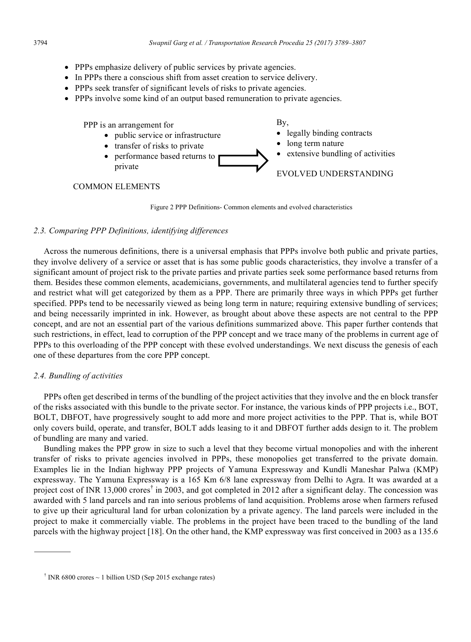- PPPs emphasize delivery of public services by private agencies.
- In PPPs there a conscious shift from asset creation to service delivery.
- PPPs seek transfer of significant levels of risks to private agencies.
- PPPs involve some kind of an output based remuneration to private agencies.





### *2.3. Comparing PPP Definitions, identifying differences*

Across the numerous definitions, there is a universal emphasis that PPPs involve both public and private parties, they involve delivery of a service or asset that is has some public goods characteristics, they involve a transfer of a significant amount of project risk to the private parties and private parties seek some performance based returns from them. Besides these common elements, academicians, governments, and multilateral agencies tend to further specify and restrict what will get categorized by them as a PPP. There are primarily three ways in which PPPs get further specified. PPPs tend to be necessarily viewed as being long term in nature; requiring extensive bundling of services; and being necessarily imprinted in ink. However, as brought about above these aspects are not central to the PPP concept, and are not an essential part of the various definitions summarized above. This paper further contends that such restrictions, in effect, lead to corruption of the PPP concept and we trace many of the problems in current age of PPPs to this overloading of the PPP concept with these evolved understandings. We next discuss the genesis of each one of these departures from the core PPP concept.

#### *2.4. Bundling of activities*

PPPs often get described in terms of the bundling of the project activities that they involve and the en block transfer of the risks associated with this bundle to the private sector. For instance, the various kinds of PPP projects i.e., BOT, BOLT, DBFOT, have progressively sought to add more and more project activities to the PPP. That is, while BOT only covers build, operate, and transfer, BOLT adds leasing to it and DBFOT further adds design to it. The problem of bundling are many and varied.

Bundling makes the PPP grow in size to such a level that they become virtual monopolies and with the inherent transfer of risks to private agencies involved in PPPs, these monopolies get transferred to the private domain. Examples lie in the Indian highway PPP projects of Yamuna Expressway and Kundli Maneshar Palwa (KMP) expressway. The Yamuna Expressway is a 165 Km 6/8 lane expressway from Delhi to Agra. It was awarded at a project cost of INR 13,000 crores<sup>†</sup> in 2003, and got completed in 2012 after a significant delay. The concession was awarded with 5 land parcels and ran into serious problems of land acquisition. Problems arose when farmers refused to give up their agricultural land for urban colonization by a private agency. The land parcels were included in the project to make it commercially viable. The problems in the project have been traced to the bundling of the land parcels with the highway project [18]. On the other hand, the KMP expressway was first conceived in 2003 as a 135.6

<sup>&</sup>lt;sup>†</sup> INR 6800 crores  $\sim$  1 billion USD (Sep 2015 exchange rates)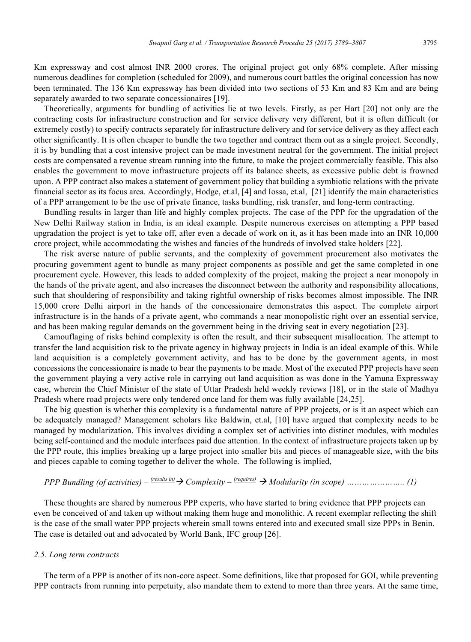Km expressway and cost almost INR 2000 crores. The original project got only 68% complete. After missing numerous deadlines for completion (scheduled for 2009), and numerous court battles the original concession has now been terminated. The 136 Km expressway has been divided into two sections of 53 Km and 83 Km and are being separately awarded to two separate concessionaires [19].

Theoretically, arguments for bundling of activities lie at two levels. Firstly, as per Hart [20] not only are the contracting costs for infrastructure construction and for service delivery very different, but it is often difficult (or extremely costly) to specify contracts separately for infrastructure delivery and for service delivery as they affect each other significantly. It is often cheaper to bundle the two together and contract them out as a single project. Secondly, it is by bundling that a cost intensive project can be made investment neutral for the government. The initial project costs are compensated a revenue stream running into the future, to make the project commercially feasible. This also enables the government to move infrastructure projects off its balance sheets, as excessive public debt is frowned upon. A PPP contract also makes a statement of government policy that building a symbiotic relations with the private financial sector as its focus area. Accordingly, Hodge, et.al, [4] and Iossa, et.al, [21] identify the main characteristics of a PPP arrangement to be the use of private finance, tasks bundling, risk transfer, and long-term contracting.

Bundling results in larger than life and highly complex projects. The case of the PPP for the upgradation of the New Delhi Railway station in India, is an ideal example. Despite numerous exercises on attempting a PPP based upgradation the project is yet to take off, after even a decade of work on it, as it has been made into an INR 10,000 crore project, while accommodating the wishes and fancies of the hundreds of involved stake holders [22].

The risk averse nature of public servants, and the complexity of government procurement also motivates the procuring government agent to bundle as many project components as possible and get the same completed in one procurement cycle. However, this leads to added complexity of the project, making the project a near monopoly in the hands of the private agent, and also increases the disconnect between the authority and responsibility allocations, such that shouldering of responsibility and taking rightful ownership of risks becomes almost impossible. The INR 15,000 crore Delhi airport in the hands of the concessionaire demonstrates this aspect. The complete airport infrastructure is in the hands of a private agent, who commands a near monopolistic right over an essential service, and has been making regular demands on the government being in the driving seat in every negotiation [23].

Camouflaging of risks behind complexity is often the result, and their subsequent misallocation. The attempt to transfer the land acquisition risk to the private agency in highway projects in India is an ideal example of this. While land acquisition is a completely government activity, and has to be done by the government agents, in most concessions the concessionaire is made to bear the payments to be made. Most of the executed PPP projects have seen the government playing a very active role in carrying out land acquisition as was done in the Yamuna Expressway case, wherein the Chief Minister of the state of Uttar Pradesh held weekly reviews [18], or in the state of Madhya Pradesh where road projects were only tendered once land for them was fully available [24,25].

The big question is whether this complexity is a fundamental nature of PPP projects, or is it an aspect which can be adequately managed? Management scholars like Baldwin, et.al, [10] have argued that complexity needs to be managed by modularization. This involves dividing a complex set of activities into distinct modules, with modules being self-contained and the module interfaces paid due attention. In the context of infrastructure projects taken up by the PPP route, this implies breaking up a large project into smaller bits and pieces of manageable size, with the bits and pieces capable to coming together to deliver the whole. The following is implied,

*PPP Bunding (of activities) –* 
$$
\xrightarrow{(results in)} \rightarrow
$$
 *Complexity –*  $\xrightarrow{(requires)} \rightarrow$  *Modularity (in scope)* ..................... (1)

These thoughts are shared by numerous PPP experts, who have started to bring evidence that PPP projects can even be conceived of and taken up without making them huge and monolithic. A recent exemplar reflecting the shift is the case of the small water PPP projects wherein small towns entered into and executed small size PPPs in Benin. The case is detailed out and advocated by World Bank, IFC group [26].

#### *2.5. Long term contracts*

The term of a PPP is another of its non-core aspect. Some definitions, like that proposed for GOI, while preventing PPP contracts from running into perpetuity, also mandate them to extend to more than three years. At the same time,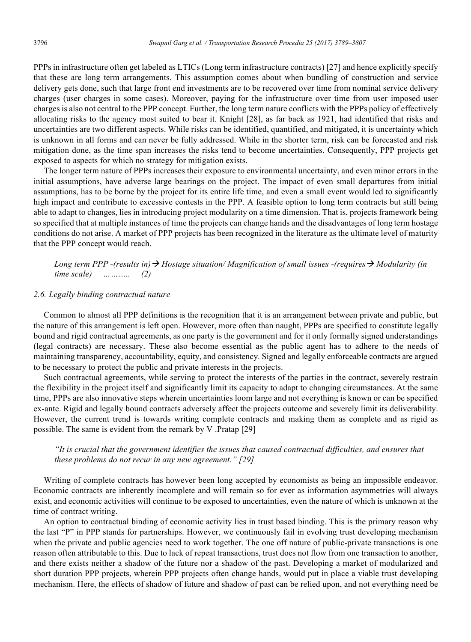PPPs in infrastructure often get labeled as LTICs (Long term infrastructure contracts) [27] and hence explicitly specify that these are long term arrangements. This assumption comes about when bundling of construction and service delivery gets done, such that large front end investments are to be recovered over time from nominal service delivery charges (user charges in some cases). Moreover, paying for the infrastructure over time from user imposed user charges is also not central to the PPP concept. Further, the long term nature conflicts with the PPPs policy of effectively allocating risks to the agency most suited to bear it. Knight [28], as far back as 1921, had identified that risks and uncertainties are two different aspects. While risks can be identified, quantified, and mitigated, it is uncertainty which is unknown in all forms and can never be fully addressed. While in the shorter term, risk can be forecasted and risk mitigation done, as the time span increases the risks tend to become uncertainties. Consequently, PPP projects get exposed to aspects for which no strategy for mitigation exists.

The longer term nature of PPPs increases their exposure to environmental uncertainty, and even minor errors in the initial assumptions, have adverse large bearings on the project. The impact of even small departures from initial assumptions, has to be borne by the project for its entire life time, and even a small event would led to significantly high impact and contribute to excessive contests in the PPP. A feasible option to long term contracts but still being able to adapt to changes, lies in introducing project modularity on a time dimension. That is, projects framework being so specified that at multiple instances of time the projects can change hands and the disadvantages of long term hostage conditions do not arise. A market of PPP projects has been recognized in the literature as the ultimate level of maturity that the PPP concept would reach.

*Long term PPP -(results in)* $\rightarrow$  *Hostage situation/ Magnification of small issues -(requires* $\rightarrow$  *Modularity (in time scale) ……….. (2)*

#### *2.6. Legally binding contractual nature*

Common to almost all PPP definitions is the recognition that it is an arrangement between private and public, but the nature of this arrangement is left open. However, more often than naught, PPPs are specified to constitute legally bound and rigid contractual agreements, as one party is the government and for it only formally signed understandings (legal contracts) are necessary. These also become essential as the public agent has to adhere to the needs of maintaining transparency, accountability, equity, and consistency. Signed and legally enforceable contracts are argued to be necessary to protect the public and private interests in the projects.

Such contractual agreements, while serving to protect the interests of the parties in the contract, severely restrain the flexibility in the project itself and significantly limit its capacity to adapt to changing circumstances. At the same time, PPPs are also innovative steps wherein uncertainties loom large and not everything is known or can be specified ex-ante. Rigid and legally bound contracts adversely affect the projects outcome and severely limit its deliverability. However, the current trend is towards writing complete contracts and making them as complete and as rigid as possible. The same is evident from the remark by V .Pratap [29]

# *"It is crucial that the government identifies the issues that caused contractual difficulties, and ensures that these problems do not recur in any new agreement." [29]*

Writing of complete contracts has however been long accepted by economists as being an impossible endeavor. Economic contracts are inherently incomplete and will remain so for ever as information asymmetries will always exist, and economic activities will continue to be exposed to uncertainties, even the nature of which is unknown at the time of contract writing.

An option to contractual binding of economic activity lies in trust based binding. This is the primary reason why the last "P" in PPP stands for partnerships. However, we continuously fail in evolving trust developing mechanism when the private and public agencies need to work together. The one off nature of public-private transactions is one reason often attributable to this. Due to lack of repeat transactions, trust does not flow from one transaction to another, and there exists neither a shadow of the future nor a shadow of the past. Developing a market of modularized and short duration PPP projects, wherein PPP projects often change hands, would put in place a viable trust developing mechanism. Here, the effects of shadow of future and shadow of past can be relied upon, and not everything need be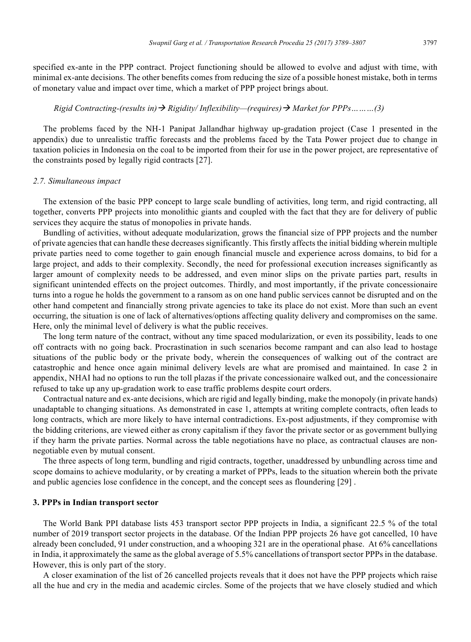specified ex-ante in the PPP contract. Project functioning should be allowed to evolve and adjust with time, with minimal ex-ante decisions. The other benefits comes from reducing the size of a possible honest mistake, both in terms of monetary value and impact over time, which a market of PPP project brings about.

### *Rigid Contracting-(results in)*à *Rigidity/ Inflexibility—(requires)*à *Market for PPPs………(3)*

The problems faced by the NH-1 Panipat Jallandhar highway up-gradation project (Case 1 presented in the appendix) due to unrealistic traffic forecasts and the problems faced by the Tata Power project due to change in taxation policies in Indonesia on the coal to be imported from their for use in the power project, are representative of the constraints posed by legally rigid contracts [27].

#### *2.7. Simultaneous impact*

The extension of the basic PPP concept to large scale bundling of activities, long term, and rigid contracting, all together, converts PPP projects into monolithic giants and coupled with the fact that they are for delivery of public services they acquire the status of monopolies in private hands.

Bundling of activities, without adequate modularization, grows the financial size of PPP projects and the number of private agencies that can handle these decreases significantly. This firstly affects the initial bidding wherein multiple private parties need to come together to gain enough financial muscle and experience across domains, to bid for a large project, and adds to their complexity. Secondly, the need for professional execution increases significantly as larger amount of complexity needs to be addressed, and even minor slips on the private parties part, results in significant unintended effects on the project outcomes. Thirdly, and most importantly, if the private concessionaire turns into a rogue he holds the government to a ransom as on one hand public services cannot be disrupted and on the other hand competent and financially strong private agencies to take its place do not exist. More than such an event occurring, the situation is one of lack of alternatives/options affecting quality delivery and compromises on the same. Here, only the minimal level of delivery is what the public receives.

The long term nature of the contract, without any time spaced modularization, or even its possibility, leads to one off contracts with no going back. Procrastination in such scenarios become rampant and can also lead to hostage situations of the public body or the private body, wherein the consequences of walking out of the contract are catastrophic and hence once again minimal delivery levels are what are promised and maintained. In case 2 in appendix, NHAI had no options to run the toll plazas if the private concessionaire walked out, and the concessionaire refused to take up any up-gradation work to ease traffic problems despite court orders.

Contractual nature and ex-ante decisions, which are rigid and legally binding, make the monopoly (in private hands) unadaptable to changing situations. As demonstrated in case 1, attempts at writing complete contracts, often leads to long contracts, which are more likely to have internal contradictions. Ex-post adjustments, if they compromise with the bidding criterions, are viewed either as crony capitalism if they favor the private sector or as government bullying if they harm the private parties. Normal across the table negotiations have no place, as contractual clauses are nonnegotiable even by mutual consent.

The three aspects of long term, bundling and rigid contracts, together, unaddressed by unbundling across time and scope domains to achieve modularity, or by creating a market of PPPs, leads to the situation wherein both the private and public agencies lose confidence in the concept, and the concept sees as floundering [29] .

#### **3. PPPs in Indian transport sector**

The World Bank PPI database lists 453 transport sector PPP projects in India, a significant 22.5 % of the total number of 2019 transport sector projects in the database. Of the Indian PPP projects 26 have got cancelled, 10 have already been concluded, 91 under construction, and a whooping 321 are in the operational phase. At 6% cancellations in India, it approximately the same as the global average of 5.5% cancellations of transport sector PPPs in the database. However, this is only part of the story.

A closer examination of the list of 26 cancelled projects reveals that it does not have the PPP projects which raise all the hue and cry in the media and academic circles. Some of the projects that we have closely studied and which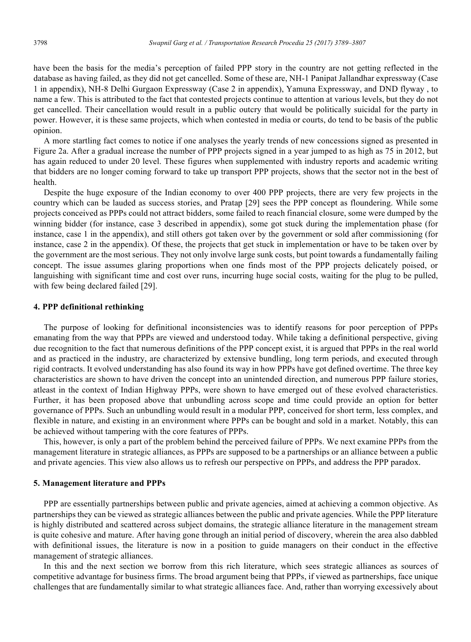have been the basis for the media's perception of failed PPP story in the country are not getting reflected in the database as having failed, as they did not get cancelled. Some of these are, NH-1 Panipat Jallandhar expressway (Case 1 in appendix), NH-8 Delhi Gurgaon Expressway (Case 2 in appendix), Yamuna Expressway, and DND flyway , to name a few. This is attributed to the fact that contested projects continue to attention at various levels, but they do not get cancelled. Their cancellation would result in a public outcry that would be politically suicidal for the party in power. However, it is these same projects, which when contested in media or courts, do tend to be basis of the public opinion.

A more startling fact comes to notice if one analyses the yearly trends of new concessions signed as presented in Figure 2a. After a gradual increase the number of PPP projects signed in a year jumped to as high as 75 in 2012, but has again reduced to under 20 level. These figures when supplemented with industry reports and academic writing that bidders are no longer coming forward to take up transport PPP projects, shows that the sector not in the best of health.

Despite the huge exposure of the Indian economy to over 400 PPP projects, there are very few projects in the country which can be lauded as success stories, and Pratap [29] sees the PPP concept as floundering. While some projects conceived as PPPs could not attract bidders, some failed to reach financial closure, some were dumped by the winning bidder (for instance, case 3 described in appendix), some got stuck during the implementation phase (for instance, case 1 in the appendix), and still others got taken over by the government or sold after commissioning (for instance, case 2 in the appendix). Of these, the projects that get stuck in implementation or have to be taken over by the government are the most serious. They not only involve large sunk costs, but point towards a fundamentally failing concept. The issue assumes glaring proportions when one finds most of the PPP projects delicately poised, or languishing with significant time and cost over runs, incurring huge social costs, waiting for the plug to be pulled, with few being declared failed [29].

#### **4. PPP definitional rethinking**

The purpose of looking for definitional inconsistencies was to identify reasons for poor perception of PPPs emanating from the way that PPPs are viewed and understood today. While taking a definitional perspective, giving due recognition to the fact that numerous definitions of the PPP concept exist, it is argued that PPPs in the real world and as practiced in the industry, are characterized by extensive bundling, long term periods, and executed through rigid contracts. It evolved understanding has also found its way in how PPPs have got defined overtime. The three key characteristics are shown to have driven the concept into an unintended direction, and numerous PPP failure stories, atleast in the context of Indian Highway PPPs, were shown to have emerged out of these evolved characteristics. Further, it has been proposed above that unbundling across scope and time could provide an option for better governance of PPPs. Such an unbundling would result in a modular PPP, conceived for short term, less complex, and flexible in nature, and existing in an environment where PPPs can be bought and sold in a market. Notably, this can be achieved without tampering with the core features of PPPs.

This, however, is only a part of the problem behind the perceived failure of PPPs. We next examine PPPs from the management literature in strategic alliances, as PPPs are supposed to be a partnerships or an alliance between a public and private agencies. This view also allows us to refresh our perspective on PPPs, and address the PPP paradox.

#### **5. Management literature and PPPs**

PPP are essentially partnerships between public and private agencies, aimed at achieving a common objective. As partnerships they can be viewed as strategic alliances between the public and private agencies. While the PPP literature is highly distributed and scattered across subject domains, the strategic alliance literature in the management stream is quite cohesive and mature. After having gone through an initial period of discovery, wherein the area also dabbled with definitional issues, the literature is now in a position to guide managers on their conduct in the effective management of strategic alliances.

In this and the next section we borrow from this rich literature, which sees strategic alliances as sources of competitive advantage for business firms. The broad argument being that PPPs, if viewed as partnerships, face unique challenges that are fundamentally similar to what strategic alliances face. And, rather than worrying excessively about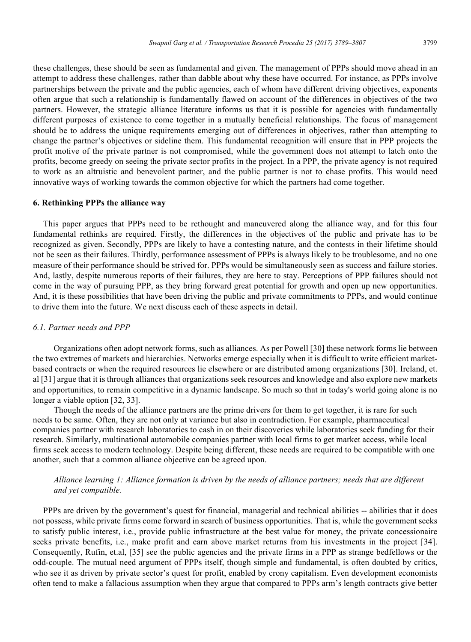these challenges, these should be seen as fundamental and given. The management of PPPs should move ahead in an attempt to address these challenges, rather than dabble about why these have occurred. For instance, as PPPs involve partnerships between the private and the public agencies, each of whom have different driving objectives, exponents often argue that such a relationship is fundamentally flawed on account of the differences in objectives of the two partners. However, the strategic alliance literature informs us that it is possible for agencies with fundamentally different purposes of existence to come together in a mutually beneficial relationships. The focus of management should be to address the unique requirements emerging out of differences in objectives, rather than attempting to change the partner's objectives or sideline them. This fundamental recognition will ensure that in PPP projects the profit motive of the private partner is not compromised, while the government does not attempt to latch onto the profits, become greedy on seeing the private sector profits in the project. In a PPP, the private agency is not required to work as an altruistic and benevolent partner, and the public partner is not to chase profits. This would need innovative ways of working towards the common objective for which the partners had come together.

#### **6. Rethinking PPPs the alliance way**

This paper argues that PPPs need to be rethought and maneuvered along the alliance way, and for this four fundamental rethinks are required. Firstly, the differences in the objectives of the public and private has to be recognized as given. Secondly, PPPs are likely to have a contesting nature, and the contests in their lifetime should not be seen as their failures. Thirdly, performance assessment of PPPs is always likely to be troublesome, and no one measure of their performance should be strived for. PPPs would be simultaneously seen as success and failure stories. And, lastly, despite numerous reports of their failures, they are here to stay. Perceptions of PPP failures should not come in the way of pursuing PPP, as they bring forward great potential for growth and open up new opportunities. And, it is these possibilities that have been driving the public and private commitments to PPPs, and would continue to drive them into the future. We next discuss each of these aspects in detail.

#### *6.1. Partner needs and PPP*

Organizations often adopt network forms, such as alliances. As per Powell [30] these network forms lie between the two extremes of markets and hierarchies. Networks emerge especially when it is difficult to write efficient marketbased contracts or when the required resources lie elsewhere or are distributed among organizations [30]. Ireland, et. al [31] argue that it is through alliances that organizations seek resources and knowledge and also explore new markets and opportunities, to remain competitive in a dynamic landscape. So much so that in today's world going alone is no longer a viable option [32, 33].

Though the needs of the alliance partners are the prime drivers for them to get together, it is rare for such needs to be same. Often, they are not only at variance but also in contradiction. For example, pharmaceutical companies partner with research laboratories to cash in on their discoveries while laboratories seek funding for their research. Similarly, multinational automobile companies partner with local firms to get market access, while local firms seek access to modern technology. Despite being different, these needs are required to be compatible with one another, such that a common alliance objective can be agreed upon.

# *Alliance learning 1: Alliance formation is driven by the needs of alliance partners; needs that are different and yet compatible.*

PPPs are driven by the government's quest for financial, managerial and technical abilities -- abilities that it does not possess, while private firms come forward in search of business opportunities. That is, while the government seeks to satisfy public interest, i.e., provide public infrastructure at the best value for money, the private concessionaire seeks private benefits, i.e., make profit and earn above market returns from his investments in the project [34]. Consequently, Rufin, et.al, [35] see the public agencies and the private firms in a PPP as strange bedfellows or the odd-couple. The mutual need argument of PPPs itself, though simple and fundamental, is often doubted by critics, who see it as driven by private sector's quest for profit, enabled by crony capitalism. Even development economists often tend to make a fallacious assumption when they argue that compared to PPPs arm's length contracts give better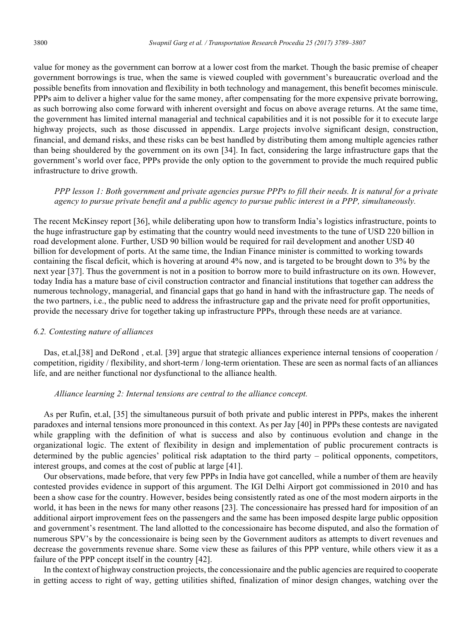value for money as the government can borrow at a lower cost from the market. Though the basic premise of cheaper government borrowings is true, when the same is viewed coupled with government's bureaucratic overload and the possible benefits from innovation and flexibility in both technology and management, this benefit becomes miniscule. PPPs aim to deliver a higher value for the same money, after compensating for the more expensive private borrowing, as such borrowing also come forward with inherent oversight and focus on above average returns. At the same time, the government has limited internal managerial and technical capabilities and it is not possible for it to execute large highway projects, such as those discussed in appendix. Large projects involve significant design, construction, financial, and demand risks, and these risks can be best handled by distributing them among multiple agencies rather than being shouldered by the government on its own [34]. In fact, considering the large infrastructure gaps that the government's world over face, PPPs provide the only option to the government to provide the much required public infrastructure to drive growth.

# *PPP lesson 1: Both government and private agencies pursue PPPs to fill their needs. It is natural for a private agency to pursue private benefit and a public agency to pursue public interest in a PPP, simultaneously.*

The recent McKinsey report [36], while deliberating upon how to transform India's logistics infrastructure, points to the huge infrastructure gap by estimating that the country would need investments to the tune of USD 220 billion in road development alone. Further, USD 90 billion would be required for rail development and another USD 40 billion for development of ports. At the same time, the Indian Finance minister is committed to working towards containing the fiscal deficit, which is hovering at around 4% now, and is targeted to be brought down to 3% by the next year [37]. Thus the government is not in a position to borrow more to build infrastructure on its own. However, today India has a mature base of civil construction contractor and financial institutions that together can address the numerous technology, managerial, and financial gaps that go hand in hand with the infrastructure gap. The needs of the two partners, i.e., the public need to address the infrastructure gap and the private need for profit opportunities, provide the necessary drive for together taking up infrastructure PPPs, through these needs are at variance.

#### *6.2. Contesting nature of alliances*

Das, et.al, [38] and DeRond, et.al. [39] argue that strategic alliances experience internal tensions of cooperation / competition, rigidity / flexibility, and short-term / long-term orientation. These are seen as normal facts of an alliances life, and are neither functional nor dysfunctional to the alliance health.

#### *Alliance learning 2: Internal tensions are central to the alliance concept.*

As per Rufin, et.al, [35] the simultaneous pursuit of both private and public interest in PPPs, makes the inherent paradoxes and internal tensions more pronounced in this context. As per Jay [40] in PPPs these contests are navigated while grappling with the definition of what is success and also by continuous evolution and change in the organizational logic. The extent of flexibility in design and implementation of public procurement contracts is determined by the public agencies' political risk adaptation to the third party – political opponents, competitors, interest groups, and comes at the cost of public at large [41].

Our observations, made before, that very few PPPs in India have got cancelled, while a number of them are heavily contested provides evidence in support of this argument. The IGI Delhi Airport got commissioned in 2010 and has been a show case for the country. However, besides being consistently rated as one of the most modern airports in the world, it has been in the news for many other reasons [23]. The concessionaire has pressed hard for imposition of an additional airport improvement fees on the passengers and the same has been imposed despite large public opposition and government's resentment. The land allotted to the concessionaire has become disputed, and also the formation of numerous SPV's by the concessionaire is being seen by the Government auditors as attempts to divert revenues and decrease the governments revenue share. Some view these as failures of this PPP venture, while others view it as a failure of the PPP concept itself in the country [42].

In the context of highway construction projects, the concessionaire and the public agencies are required to cooperate in getting access to right of way, getting utilities shifted, finalization of minor design changes, watching over the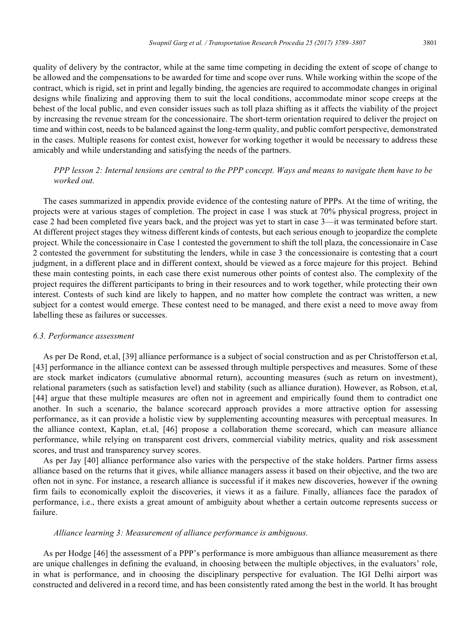quality of delivery by the contractor, while at the same time competing in deciding the extent of scope of change to be allowed and the compensations to be awarded for time and scope over runs. While working within the scope of the contract, which is rigid, set in print and legally binding, the agencies are required to accommodate changes in original designs while finalizing and approving them to suit the local conditions, accommodate minor scope creeps at the behest of the local public, and even consider issues such as toll plaza shifting as it affects the viability of the project by increasing the revenue stream for the concessionaire. The short-term orientation required to deliver the project on time and within cost, needs to be balanced against the long-term quality, and public comfort perspective, demonstrated in the cases. Multiple reasons for contest exist, however for working together it would be necessary to address these amicably and while understanding and satisfying the needs of the partners.

# *PPP lesson 2: Internal tensions are central to the PPP concept. Ways and means to navigate them have to be worked out.*

The cases summarized in appendix provide evidence of the contesting nature of PPPs. At the time of writing, the projects were at various stages of completion. The project in case 1 was stuck at 70% physical progress, project in case 2 had been completed five years back, and the project was yet to start in case 3—it was terminated before start. At different project stages they witness different kinds of contests, but each serious enough to jeopardize the complete project. While the concessionaire in Case 1 contested the government to shift the toll plaza, the concessionaire in Case 2 contested the government for substituting the lenders, while in case 3 the concessionaire is contesting that a court judgment, in a different place and in different context, should be viewed as a force majeure for this project. Behind these main contesting points, in each case there exist numerous other points of contest also. The complexity of the project requires the different participants to bring in their resources and to work together, while protecting their own interest. Contests of such kind are likely to happen, and no matter how complete the contract was written, a new subject for a contest would emerge. These contest need to be managed, and there exist a need to move away from labelling these as failures or successes.

#### *6.3. Performance assessment*

As per De Rond, et.al, [39] alliance performance is a subject of social construction and as per Christofferson et.al, [43] performance in the alliance context can be assessed through multiple perspectives and measures. Some of these are stock market indicators (cumulative abnormal return), accounting measures (such as return on investment), relational parameters (such as satisfaction level) and stability (such as alliance duration). However, as Robson, et.al, [44] argue that these multiple measures are often not in agreement and empirically found them to contradict one another. In such a scenario, the balance scorecard approach provides a more attractive option for assessing performance, as it can provide a holistic view by supplementing accounting measures with perceptual measures. In the alliance context, Kaplan, et.al, [46] propose a collaboration theme scorecard, which can measure alliance performance, while relying on transparent cost drivers, commercial viability metrics, quality and risk assessment scores, and trust and transparency survey scores.

As per Jay [40] alliance performance also varies with the perspective of the stake holders. Partner firms assess alliance based on the returns that it gives, while alliance managers assess it based on their objective, and the two are often not in sync. For instance, a research alliance is successful if it makes new discoveries, however if the owning firm fails to economically exploit the discoveries, it views it as a failure. Finally, alliances face the paradox of performance, i.e., there exists a great amount of ambiguity about whether a certain outcome represents success or failure.

#### *Alliance learning 3: Measurement of alliance performance is ambiguous.*

As per Hodge [46] the assessment of a PPP's performance is more ambiguous than alliance measurement as there are unique challenges in defining the evaluand, in choosing between the multiple objectives, in the evaluators' role, in what is performance, and in choosing the disciplinary perspective for evaluation. The IGI Delhi airport was constructed and delivered in a record time, and has been consistently rated among the best in the world. It has brought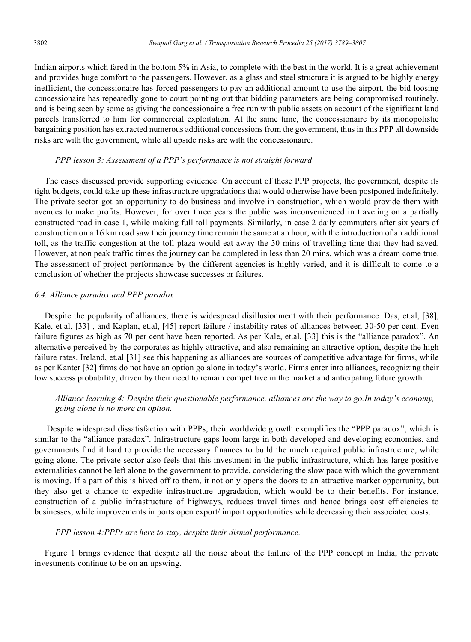Indian airports which fared in the bottom 5% in Asia, to complete with the best in the world. It is a great achievement and provides huge comfort to the passengers. However, as a glass and steel structure it is argued to be highly energy inefficient, the concessionaire has forced passengers to pay an additional amount to use the airport, the bid loosing concessionaire has repeatedly gone to court pointing out that bidding parameters are being compromised routinely, and is being seen by some as giving the concessionaire a free run with public assets on account of the significant land parcels transferred to him for commercial exploitation. At the same time, the concessionaire by its monopolistic bargaining position has extracted numerous additional concessions from the government, thus in this PPP all downside risks are with the government, while all upside risks are with the concessionaire.

### *PPP lesson 3: Assessment of a PPP's performance is not straight forward*

The cases discussed provide supporting evidence. On account of these PPP projects, the government, despite its tight budgets, could take up these infrastructure upgradations that would otherwise have been postponed indefinitely. The private sector got an opportunity to do business and involve in construction, which would provide them with avenues to make profits. However, for over three years the public was inconvenienced in traveling on a partially constructed road in case 1, while making full toll payments. Similarly, in case 2 daily commuters after six years of construction on a 16 km road saw their journey time remain the same at an hour, with the introduction of an additional toll, as the traffic congestion at the toll plaza would eat away the 30 mins of travelling time that they had saved. However, at non peak traffic times the journey can be completed in less than 20 mins, which was a dream come true. The assessment of project performance by the different agencies is highly varied, and it is difficult to come to a conclusion of whether the projects showcase successes or failures.

### *6.4. Alliance paradox and PPP paradox*

Despite the popularity of alliances, there is widespread disillusionment with their performance. Das, et.al, [38], Kale, et.al, [33] , and Kaplan, et.al, [45] report failure / instability rates of alliances between 30-50 per cent. Even failure figures as high as 70 per cent have been reported. As per Kale, et.al, [33] this is the "alliance paradox". An alternative perceived by the corporates as highly attractive, and also remaining an attractive option, despite the high failure rates. Ireland, et.al [31] see this happening as alliances are sources of competitive advantage for firms, while as per Kanter [32] firms do not have an option go alone in today's world. Firms enter into alliances, recognizing their low success probability, driven by their need to remain competitive in the market and anticipating future growth.

*Alliance learning 4: Despite their questionable performance, alliances are the way to go.In today's economy, going alone is no more an option.*

Despite widespread dissatisfaction with PPPs, their worldwide growth exemplifies the "PPP paradox", which is similar to the "alliance paradox". Infrastructure gaps loom large in both developed and developing economies, and governments find it hard to provide the necessary finances to build the much required public infrastructure, while going alone. The private sector also feels that this investment in the public infrastructure, which has large positive externalities cannot be left alone to the government to provide, considering the slow pace with which the government is moving. If a part of this is hived off to them, it not only opens the doors to an attractive market opportunity, but they also get a chance to expedite infrastructure upgradation, which would be to their benefits. For instance, construction of a public infrastructure of highways, reduces travel times and hence brings cost efficiencies to businesses, while improvements in ports open export/ import opportunities while decreasing their associated costs.

#### *PPP lesson 4:PPPs are here to stay, despite their dismal performance.*

Figure 1 brings evidence that despite all the noise about the failure of the PPP concept in India, the private investments continue to be on an upswing.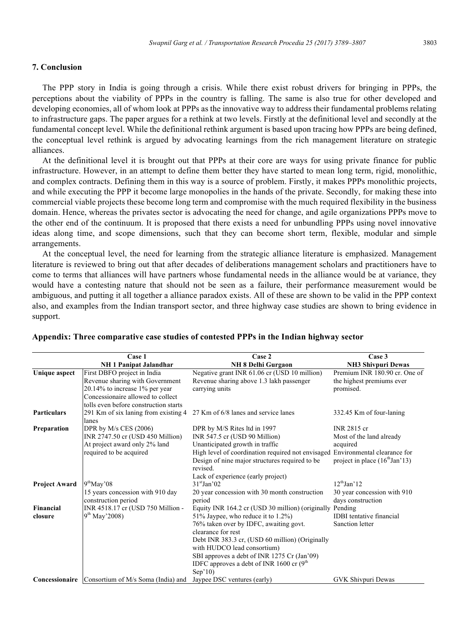### **7. Conclusion**

The PPP story in India is going through a crisis. While there exist robust drivers for bringing in PPPs, the perceptions about the viability of PPPs in the country is falling. The same is also true for other developed and developing economies, all of whom look at PPPs as the innovative way to address their fundamental problems relating to infrastructure gaps. The paper argues for a rethink at two levels. Firstly at the definitional level and secondly at the fundamental concept level. While the definitional rethink argument is based upon tracing how PPPs are being defined, the conceptual level rethink is argued by advocating learnings from the rich management literature on strategic alliances.

At the definitional level it is brought out that PPPs at their core are ways for using private finance for public infrastructure. However, in an attempt to define them better they have started to mean long term, rigid, monolithic, and complex contracts. Defining them in this way is a source of problem. Firstly, it makes PPPs monolithic projects, and while executing the PPP it become large monopolies in the hands of the private. Secondly, for making these into commercial viable projects these become long term and compromise with the much required flexibility in the business domain. Hence, whereas the privates sector is advocating the need for change, and agile organizations PPPs move to the other end of the continuum. It is proposed that there exists a need for unbundling PPPs using novel innovative ideas along time, and scope dimensions, such that they can become short term, flexible, modular and simple arrangements.

At the conceptual level, the need for learning from the strategic alliance literature is emphasized. Management literature is reviewed to bring out that after decades of deliberations management scholars and practitioners have to come to terms that alliances will have partners whose fundamental needs in the alliance would be at variance, they would have a contesting nature that should not be seen as a failure, their performance measurement would be ambiguous, and putting it all together a alliance paradox exists. All of these are shown to be valid in the PPP context also, and examples from the Indian transport sector, and three highway case studies are shown to bring evidence in support.

|                      | Case 1                                                   | Case 2                                                                        | Case 3                            |
|----------------------|----------------------------------------------------------|-------------------------------------------------------------------------------|-----------------------------------|
|                      | <b>NH 1 Panipat Jalandhar</b>                            | <b>NH 8 Delhi Gurgaon</b>                                                     | <b>NH3 Shivpuri Dewas</b>         |
| Unique aspect        | First DBFO project in India                              | Negative grant INR 61.06 cr (USD 10 million)                                  | Premium INR 180.90 cr. One of     |
|                      | Revenue sharing with Government                          | Revenue sharing above 1.3 lakh passenger                                      | the highest premiums ever         |
|                      | $20.14\%$ to increase 1% per year                        | carrying units                                                                | promised.                         |
|                      | Concessionaire allowed to collect                        |                                                                               |                                   |
|                      | tolls even before construction starts                    |                                                                               |                                   |
| <b>Particulars</b>   | 291 Km of six laning from existing 4                     | 27 Km of 6/8 lanes and service lanes                                          | 332.45 Km of four-laning          |
|                      | lanes                                                    |                                                                               |                                   |
| Preparation          | DPR by $M/s$ CES (2006)                                  | DPR by M/S Rites ltd in 1997                                                  | INR 2815 cr                       |
|                      | INR 2747.50 cr (USD 450 Million)                         | INR 547.5 cr (USD 90 Million)                                                 | Most of the land already          |
|                      | At project award only 2% land                            | Unanticipated growth in traffic                                               | acquired                          |
|                      | required to be acquired                                  | High level of coordination required not envisaged Environmental clearance for |                                   |
|                      |                                                          | Design of nine major structures required to be                                | project in place $(16th$ Jan' 13) |
|                      |                                                          | revised.                                                                      |                                   |
|                      |                                                          | Lack of experience (early project)                                            |                                   |
| <b>Project Award</b> | $9th$ May'08                                             | $31st$ Jan'02                                                                 | $12th$ Jan' 12.                   |
|                      | 15 years concession with 910 day                         | 20 year concession with 30 month construction                                 | 30 year concession with 910       |
|                      | construction period                                      | period                                                                        | days construction                 |
| <b>Financial</b>     | INR 4518.17 cr (USD 750 Million -                        | Equity INR 164.2 cr (USD 30 million) (originally Pending                      |                                   |
| closure              | $9th$ May'2008)                                          | 51% Jaypee, who reduce it to 1.2%)                                            | <b>IDBI</b> tentative financial   |
|                      |                                                          | 76% taken over by IDFC, awaiting govt.                                        | Sanction letter                   |
|                      |                                                          | clearance for rest                                                            |                                   |
|                      |                                                          | Debt INR 383.3 cr, (USD 60 million) (Originally                               |                                   |
|                      |                                                          | with HUDCO lead consortium)                                                   |                                   |
|                      |                                                          | SBI approves a debt of INR 1275 Cr (Jan'09)                                   |                                   |
|                      |                                                          | IDFC approves a debt of INR 1600 cr $(9th$                                    |                                   |
|                      |                                                          | Sep'10)                                                                       |                                   |
|                      | <b>Concessionaire</b> Consortium of M/s Soma (India) and | Jaypee DSC ventures (early)                                                   | GVK Shivpuri Dewas                |

### **Appendix: Three comparative case studies of contested PPPs in the Indian highway sector**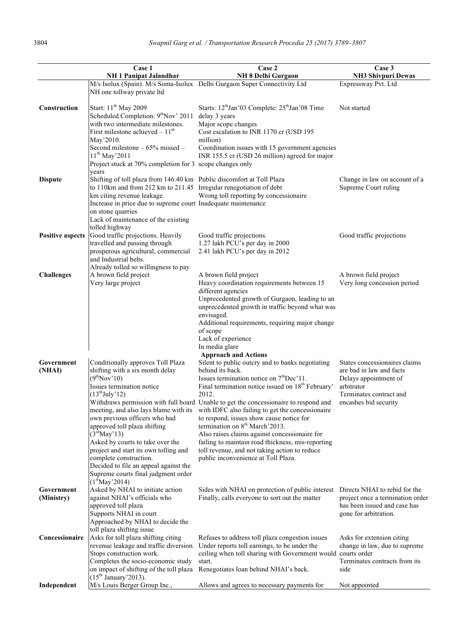|                          | Case 1                                                                                                                                                                                                                                                                                                                                                                                                                                                                                                           | Case 2                                                                                                                                                                                                                                                                                                                                                                                                                                                                                                                                                                                                                                       | Case 3                                                                                                                                               |
|--------------------------|------------------------------------------------------------------------------------------------------------------------------------------------------------------------------------------------------------------------------------------------------------------------------------------------------------------------------------------------------------------------------------------------------------------------------------------------------------------------------------------------------------------|----------------------------------------------------------------------------------------------------------------------------------------------------------------------------------------------------------------------------------------------------------------------------------------------------------------------------------------------------------------------------------------------------------------------------------------------------------------------------------------------------------------------------------------------------------------------------------------------------------------------------------------------|------------------------------------------------------------------------------------------------------------------------------------------------------|
|                          | <b>NH 1 Panipat Jalandhar</b>                                                                                                                                                                                                                                                                                                                                                                                                                                                                                    | <b>NH 8 Delhi Gurgaon</b>                                                                                                                                                                                                                                                                                                                                                                                                                                                                                                                                                                                                                    | <b>NH3 Shivpuri Dewas</b>                                                                                                                            |
|                          | NH one tollway private ltd                                                                                                                                                                                                                                                                                                                                                                                                                                                                                       | M/s Isolux (Spain). M/s Soma-Isolux Delhi Gurgaon Super Connectivity Ltd                                                                                                                                                                                                                                                                                                                                                                                                                                                                                                                                                                     | Expressway Pvt. Ltd                                                                                                                                  |
| Construction             | Start: 11 <sup>th</sup> May 2009<br>Scheduled Completion: 9 <sup>th</sup> Nov' 2011<br>with two intermediate milestones.<br>First milestone achieved $-11th$<br>May'2010.<br>Second milestone - 65% missed -<br>$11^{th}$ May'2011                                                                                                                                                                                                                                                                               | Starts: 12 <sup>th</sup> Jan'03 Complete: 25 <sup>th</sup> Jan'08 Time<br>delay 3 years<br>Major scope changes<br>Cost escalation to INR 1170 cr (USD 195<br>million)<br>Coordination issues with 15 government agencies<br>INR 155.5 cr (USD 26 million) agreed for major                                                                                                                                                                                                                                                                                                                                                                   | Not started                                                                                                                                          |
| <b>Dispute</b>           | Project stuck at 70% completion for 3 scope changes only<br>years<br>Shifting of toll plaza from 146.40 km Public discomfort at Toll Plaza                                                                                                                                                                                                                                                                                                                                                                       |                                                                                                                                                                                                                                                                                                                                                                                                                                                                                                                                                                                                                                              | Change in law on account of a                                                                                                                        |
|                          | to 110km and from 212 km to 211.45 Irregular renegotiation of debt<br>km citing revenue leakage.<br>Increase in price due to supreme court Inadequate maintenance<br>on stone quarries<br>Lack of maintenance of the existing<br>tolled highway                                                                                                                                                                                                                                                                  | Wrong toll reporting by concessionaire                                                                                                                                                                                                                                                                                                                                                                                                                                                                                                                                                                                                       | Supreme Court ruling                                                                                                                                 |
| <b>Positive aspects</b>  | Good traffic projections. Heavily<br>travelled and passing through<br>prosperous agricultural, commercial<br>and Industrial belts.<br>Already tolled so willingness to pay                                                                                                                                                                                                                                                                                                                                       | Good traffic projections.<br>1.27 lakh PCU's per day in 2000<br>2.41 lakh PCU's per day in 2012                                                                                                                                                                                                                                                                                                                                                                                                                                                                                                                                              | Good traffic projections                                                                                                                             |
| <b>Challenges</b>        | A brown field project<br>Very large project                                                                                                                                                                                                                                                                                                                                                                                                                                                                      | A brown field project<br>Heavy coordination requirements between 15<br>different agencies<br>Unprecedented growth of Gurgaon, leading to an<br>unprecedented growth in traffic beyond what was<br>envisaged.<br>Additional requirements, requiring major change<br>of scope<br>Lack of experience<br>In media glare<br><b>Approach and Actions</b>                                                                                                                                                                                                                                                                                           | A brown field project<br>Very long concession period                                                                                                 |
| Government<br>(NHAI)     | Conditionally approves Toll Plaza<br>shifting with a six month delay<br>(9 <sup>th</sup> Nov'10)<br>Issues termination notice<br>(13 <sup>th</sup> July' 12)<br>meeting, and also lays blame with its<br>own previous officers who had<br>approved toll plaza shifting<br>$(3^{rd}$ May'13)<br>Asked by courts to take over the<br>project and start its own tolling and<br>complete construction.<br>Decided to file an appeal against the<br>Supreme courts final judgment order<br>(1 <sup>st</sup> May'2014) | Silent to public outcry and to banks negotiating<br>behind its back.<br>Issues termination notice on $7thDec$ <sup>211</sup> .<br>Final termination notice issued on 18 <sup>th</sup> February'<br>2012.<br>Withdraws permission with full board Unable to get the concessionaire to respond and<br>with IDFC also failing to get the concessionaire<br>to respond, issues show cause notice for<br>termination on 8 <sup>th</sup> March'2013.<br>Also raises claims against concessionaire for<br>failing to maintain road thickness, mis-reporting<br>toll revenue, and not taking action to reduce<br>public inconvenience at Toll Plaza. | States concessionaires claims<br>are bad in law and facts<br>Delays appointment of<br>arbitrator<br>Terminates contract and<br>encashes bid security |
| Government<br>(Ministry) | Asked by NHAI to initiate action<br>against NHAI's officials who<br>approved toll plaza<br>Supports NHAI in court<br>Approached by NHAI to decide the<br>toll plaza shifting issue                                                                                                                                                                                                                                                                                                                               | Sides with NHAI on protection of public interest Directs NHAI to rebid for the<br>Finally, calls everyone to sort out the matter                                                                                                                                                                                                                                                                                                                                                                                                                                                                                                             | project once a termination order<br>has been issued and case has<br>gone for arbitration.                                                            |
| Concessionaire           | Asks for toll plaza shifting citing<br>revenue leakage and traffic diversion.<br>Stops construction work.<br>Completes the socio-economic study<br>on impact of shifting of the toll plaza<br>$(15th January'2013)$ .                                                                                                                                                                                                                                                                                            | Refuses to address toll plaza congestion issues<br>Under reports toll earnings, to be under the<br>ceiling when toll sharing with Government would courts order<br>start.<br>Renegotiates loan behind NHAI's back.                                                                                                                                                                                                                                                                                                                                                                                                                           | Asks for extension citing<br>change in law, due to supreme<br>Terminates contracts from its<br>side                                                  |
| Independent              | M/s Louis Berger Group Inc.,                                                                                                                                                                                                                                                                                                                                                                                                                                                                                     | Allows and agrees to necessary payments for                                                                                                                                                                                                                                                                                                                                                                                                                                                                                                                                                                                                  | Not appointed                                                                                                                                        |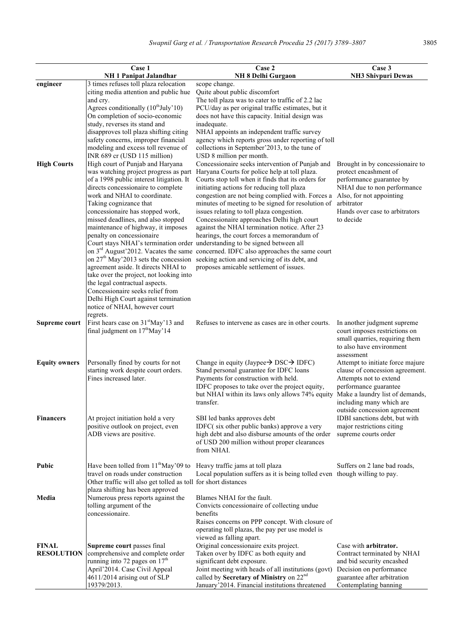|                                   | Case 1<br><b>NH 1 Panipat Jalandhar</b>                                                                                                                                                                                                                                                                                                                                                                                                                                                                                                                                                                                                                                        | Case 2<br><b>NH 8 Delhi Gurgaon</b>                                                                                                                                                                                                                                                                                                                                                                                                                                                                                                                                                                                                                                                                                                                                        | Case 3<br><b>NH3 Shivpuri Dewas</b>                                                                                                                                                                          |
|-----------------------------------|--------------------------------------------------------------------------------------------------------------------------------------------------------------------------------------------------------------------------------------------------------------------------------------------------------------------------------------------------------------------------------------------------------------------------------------------------------------------------------------------------------------------------------------------------------------------------------------------------------------------------------------------------------------------------------|----------------------------------------------------------------------------------------------------------------------------------------------------------------------------------------------------------------------------------------------------------------------------------------------------------------------------------------------------------------------------------------------------------------------------------------------------------------------------------------------------------------------------------------------------------------------------------------------------------------------------------------------------------------------------------------------------------------------------------------------------------------------------|--------------------------------------------------------------------------------------------------------------------------------------------------------------------------------------------------------------|
| engineer                          | 3 times refuses toll plaza relocation                                                                                                                                                                                                                                                                                                                                                                                                                                                                                                                                                                                                                                          | scope change.                                                                                                                                                                                                                                                                                                                                                                                                                                                                                                                                                                                                                                                                                                                                                              |                                                                                                                                                                                                              |
|                                   | citing media attention and public hue<br>and cry.                                                                                                                                                                                                                                                                                                                                                                                                                                                                                                                                                                                                                              | Quite about public discomfort<br>The toll plaza was to cater to traffic of 2.2 lac                                                                                                                                                                                                                                                                                                                                                                                                                                                                                                                                                                                                                                                                                         |                                                                                                                                                                                                              |
|                                   | Agrees conditionally $(10thJuly'10)$<br>On completion of socio-economic<br>study, reverses its stand and                                                                                                                                                                                                                                                                                                                                                                                                                                                                                                                                                                       | PCU/day as per original traffic estimates, but it<br>does not have this capacity. Initial design was<br>inadequate.                                                                                                                                                                                                                                                                                                                                                                                                                                                                                                                                                                                                                                                        |                                                                                                                                                                                                              |
|                                   | disapproves toll plaza shifting citing<br>safety concerns, improper financial<br>modeling and excess toll revenue of<br>INR 689 cr (USD 115 million)                                                                                                                                                                                                                                                                                                                                                                                                                                                                                                                           | NHAI appoints an independent traffic survey<br>agency which reports gross under reporting of toll<br>collections in September' 2013, to the tune of<br>USD 8 million per month.                                                                                                                                                                                                                                                                                                                                                                                                                                                                                                                                                                                            |                                                                                                                                                                                                              |
| <b>High Courts</b>                | High court of Punjab and Haryana<br>of a 1998 public interest litigation. It<br>directs concessionaire to complete<br>work and NHAI to coordinate.<br>Taking cognizance that<br>concessionaire has stopped work,<br>missed deadlines, and also stopped<br>maintenance of highway, it imposes<br>penalty on concessionaire<br>on 3 <sup>rd</sup> August'2012. Vacates the same<br>on 27 <sup>th</sup> May'2013 sets the concession<br>agreement aside. It directs NHAI to<br>take over the project, not looking into<br>the legal contractual aspects.<br>Concessionaire seeks relief from<br>Delhi High Court against termination<br>notice of NHAI, however court<br>regrets. | Concessionaire seeks intervention of Punjab and<br>was watching project progress as part Haryana Courts for police help at toll plaza.<br>Courts stop toll when it finds that its orders for<br>initiating actions for reducing toll plaza<br>congestion are not being complied with. Forces a<br>minutes of meeting to be signed for resolution of<br>issues relating to toll plaza congestion.<br>Concessionaire approaches Delhi high court<br>against the NHAI termination notice. After 23<br>hearings, the court forces a memorandum of<br>Court stays NHAI's termination order understanding to be signed between all<br>concerned. IDFC also approaches the same court<br>seeking action and servicing of its debt, and<br>proposes amicable settlement of issues. | Brought in by concessionaire to<br>protect encashment of<br>performance guarantee by<br>NHAI due to non performance<br>Also, for not appointing<br>arbitrator<br>Hands over case to arbitrators<br>to decide |
| Supreme court                     | First hears case on 31 <sup>st</sup> May'13 and<br>final judgment on 17 <sup>th</sup> May'14                                                                                                                                                                                                                                                                                                                                                                                                                                                                                                                                                                                   | Refuses to intervene as cases are in other courts.                                                                                                                                                                                                                                                                                                                                                                                                                                                                                                                                                                                                                                                                                                                         | In another judgment supreme<br>court imposes restrictions on<br>small quarries, requiring them<br>to also have environment<br>assessment                                                                     |
| <b>Equity owners</b>              | Personally fined by courts for not<br>starting work despite court orders.<br>Fines increased later.                                                                                                                                                                                                                                                                                                                                                                                                                                                                                                                                                                            | Change in equity (Jaypee $\rightarrow$ DSC $\rightarrow$ IDFC)<br>Stand personal guarantee for IDFC loans<br>Payments for construction with held.<br>IDFC proposes to take over the project equity,<br>but NHAI within its laws only allows 74% equity Make a laundry list of demands,<br>transfer.                                                                                                                                                                                                                                                                                                                                                                                                                                                                        | Attempt to initiate force majure<br>clause of concession agreement.<br>Attempts not to extend<br>performance guarantee<br>including many which are<br>outside concession agreement                           |
| <b>Financers</b>                  | At project initiation hold a very<br>positive outlook on project, even<br>ADB views are positive.                                                                                                                                                                                                                                                                                                                                                                                                                                                                                                                                                                              | SBI led banks approves debt<br>IDFC(six other public banks) approve a very<br>high debt and also disburse amounts of the order<br>of USD 200 million without proper clearances<br>from NHAI.                                                                                                                                                                                                                                                                                                                                                                                                                                                                                                                                                                               | IDBI sanctions debt, but with<br>major restrictions citing<br>supreme courts order                                                                                                                           |
| Pubic                             | Have been tolled from $11th$ May'09 to<br>travel on roads under construction<br>Other traffic will also get tolled as toll for short distances<br>plaza shifting has been approved                                                                                                                                                                                                                                                                                                                                                                                                                                                                                             | Heavy traffic jams at toll plaza<br>Local population suffers as it is being tolled even though willing to pay.                                                                                                                                                                                                                                                                                                                                                                                                                                                                                                                                                                                                                                                             | Suffers on 2 lane bad roads,                                                                                                                                                                                 |
| Media                             | Numerous press reports against the<br>tolling argument of the<br>concessionaire.                                                                                                                                                                                                                                                                                                                                                                                                                                                                                                                                                                                               | Blames NHAI for the fault.<br>Convicts concessionaire of collecting undue<br>benefits<br>Raises concerns on PPP concept. With closure of<br>operating toll plazas, the pay per use model is<br>viewed as falling apart.                                                                                                                                                                                                                                                                                                                                                                                                                                                                                                                                                    |                                                                                                                                                                                                              |
| <b>FINAL</b><br><b>RESOLUTION</b> | Supreme court passes final<br>comprehensive and complete order<br>running into 72 pages on 17 <sup>th</sup><br>April'2014. Case Civil Appeal<br>4611/2014 arising out of SLP<br>19379/2013.                                                                                                                                                                                                                                                                                                                                                                                                                                                                                    | Original concessionaire exits project.<br>Taken over by IDFC as both equity and<br>significant debt exposure.<br>Joint meeting with heads of all institutions (govt)<br>called by Secretary of Ministry on 22 <sup>nd</sup><br>January'2014. Financial institutions threatened                                                                                                                                                                                                                                                                                                                                                                                                                                                                                             | Case with arbitrator.<br>Contract terminated by NHAI<br>and bid security encashed<br>Decision on performance<br>guarantee after arbitration<br>Contemplating banning                                         |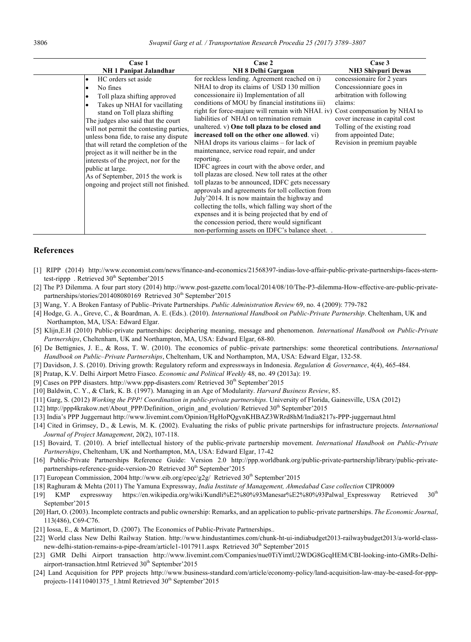| Case 1                                                                                                                                                                                                                                                                                                                                                                                                                                                                                                                                          | Case 2                                                                                                                                                                                                                                                                                                                                                                                                                                                                                                                                                                                                                                                                                                                                                                                                                                                                                                                                                                                                                     | Case 3                                                                                                                                                                                                                  |
|-------------------------------------------------------------------------------------------------------------------------------------------------------------------------------------------------------------------------------------------------------------------------------------------------------------------------------------------------------------------------------------------------------------------------------------------------------------------------------------------------------------------------------------------------|----------------------------------------------------------------------------------------------------------------------------------------------------------------------------------------------------------------------------------------------------------------------------------------------------------------------------------------------------------------------------------------------------------------------------------------------------------------------------------------------------------------------------------------------------------------------------------------------------------------------------------------------------------------------------------------------------------------------------------------------------------------------------------------------------------------------------------------------------------------------------------------------------------------------------------------------------------------------------------------------------------------------------|-------------------------------------------------------------------------------------------------------------------------------------------------------------------------------------------------------------------------|
| <b>NH 1 Panipat Jalandhar</b>                                                                                                                                                                                                                                                                                                                                                                                                                                                                                                                   | <b>NH 8 Delhi Gurgaon</b>                                                                                                                                                                                                                                                                                                                                                                                                                                                                                                                                                                                                                                                                                                                                                                                                                                                                                                                                                                                                  | <b>NH3 Shivpuri Dewas</b>                                                                                                                                                                                               |
| HC orders set aside<br>$\bullet$<br>No fines<br>$\bullet$<br>Toll plaza shifting approved<br>$\bullet$<br>Takes up NHAI for vacillating<br>$\bullet$<br>stand on Toll plaza shifting<br>The judges also said that the court<br>will not permit the contesting parties,<br>unless bona fide, to raise any dispute<br>that will retard the completion of the<br>project as it will neither be in the<br>interests of the project, nor for the<br>public at large.<br>As of September, 2015 the work is<br>ongoing and project still not finished. | for reckless lending. Agreement reached on i)<br>NHAI to drop its claims of USD 130 million<br>concessionaire ii) Implementation of all<br>conditions of MOU by financial institutions iii)<br>right for force-majure will remain with NHAI. iv) Cost compensation by NHAI to<br>liabilities of NHAI on termination remain<br>unaltered. v) One toll plaza to be closed and<br>increased toll on the other one allowed. vi)<br>NHAI drops its various claims – for lack of<br>maintenance, service road repair, and under<br>reporting.<br>IDFC agrees in court with the above order, and<br>toll plazas are closed. New toll rates at the other<br>toll plazas to be announced, IDFC gets necessary<br>approvals and agreements for toll collection from<br>July'2014. It is now maintain the highway and<br>collecting the tolls, which falling way short of the<br>expenses and it is being projected that by end of<br>the concession period, there would significant<br>non-performing assets on IDFC's balance sheet | concessionaire for 2 years<br>Concessionniare goes in<br>arbitration with following<br>claims:<br>cover increase in capital cost<br>Tolling of the existing road<br>from appointed Date;<br>Revision in premium payable |

#### **References**

- [1] RIPP (2014) http://www.economist.com/news/finance-and-economics/21568397-indias-love-affair-public-private-partnerships-faces-sterntest-rippp. Retrieved 30<sup>th</sup> September'2015
- [2] The P3 Dilemma. A four part story (2014) http://www.post-gazette.com/local/2014/08/10/The-P3-dilemma-How-effective-are-public-privatepartnerships/stories/201408080169 Retrieved 30<sup>th</sup> September'2015
- [3] Wang, Y. A Broken Fantasy of Public–Private Partnerships. *Public Administration Review* 69, no. 4 (2009): 779-782
- [4] Hodge, G. A., Greve, C., & Boardman, A. E. (Eds.). (2010). *International Handbook on Public-Private Partnership*. Cheltenham, UK and Northampton, MA, USA: Edward Elgar.
- [5] Klijn,E.H (2010) Public-private partnerships: deciphering meaning, message and phenomenon. *International Handbook on Public-Private Partnerships*, Cheltenham, UK and Northampton, MA, USA: Edward Elgar, 68-80.
- [6] De Bettignies, J. E., & Ross, T. W. (2010). The economics of public–private partnerships: some theoretical contributions. *International Handbook on Public–Private Partnerships*, Cheltenham, UK and Northampton, MA, USA: Edward Elgar, 132-58.
- [7] Davidson, J. S. (2010). Driving growth: Regulatory reform and expressways in Indonesia. *Regulation & Governance*, 4(4), 465-484.
- [8] Pratap, K.V. Delhi Airport Metro Fiasco. *Economic and Political Weekly* 48, no. 49 (2013a): 19.
- [9] Cases on PPP disasters. http://www.ppp-disasters.com/ Retrieved 30<sup>th</sup> September'2015
- [10] Baldwin, C. Y., & Clark, K. B. (1997). Managing in an Age of Modularity. *Harvard Business Review*, 85.
- [11] Garg, S. (2012) *Working the PPP! Coordination in public-private partnerships*. University of Florida, Gainesville, USA (2012)
- [12] http://ppp4krakow.net/About\_PPP/Definition, origin\_and\_evolution/ Retrieved 30<sup>th</sup> September'2015
- [13] India's PPP Juggernaut http://www.livemint.com/Opinion/HgHoPQgvnKHBAZ3WRrd8hM/India8217s-PPP-juggernaut.html
- [14] Cited in Grimsey, D., & Lewis, M. K. (2002). Evaluating the risks of public private partnerships for infrastructure projects. *International Journal of Project Management*, 20(2), 107-118.
- [15] Bovaird, T. (2010). A brief intellectual history of the public-private partnership movement. *International Handbook on Public-Private Partnerships*, Cheltenham, UK and Northampton, MA, USA: Edward Elgar, 17-42
- [16] Public-Private Partnerships Reference Guide: Version 2.0 http://ppp.worldbank.org/public-private-partnership/library/public-privatepartnerships-reference-guide-version-20 Retrieved 30<sup>th</sup> September'2015
- [17] European Commission, 2004 http://www.eib.org/epec/g2g/ Retrieved 30<sup>th</sup> September'2015
- [18] Raghuram & Mehta (2011) The Yamuna Expressway, *India Institute of Management, Ahmedabad Case collection* CIPR0009
- [19] KMP expressway https://en.wikipedia.org/wiki/Kundli%E2%80%93Manesar%E2%80%93Palwal\_Expressway Retrieved 30th September'2015
- [20] Hart, O. (2003). Incomplete contracts and public ownership: Remarks, and an application to public-private partnerships. *The Economic Journal*, 113(486), C69-C76.
- [21] Iossa, E., & Martimort, D. (2007). The Economics of Public-Private Partnerships..
- [22] World class New Delhi Railway Station. http://www.hindustantimes.com/chunk-ht-ui-indiabudget2013-railwaybudget2013/a-world-classnew-delhi-station-remains-a-pipe-dream/article1-1017911.aspx Retrieved 30<sup>th</sup> September'2015
- [23] GMR Delhi Airport transaction http://www.livemint.com/Companies/nue0TiYimtU2WDG8GcqHEM/CBI-looking-into-GMRs-Delhiairport-transaction.html Retrieved 30<sup>th</sup> September'2015
- [24] Land Acquisition for PPP projects http://www.business-standard.com/article/economy-policy/land-acquisition-law-may-be-eased-for-pppprojects-114110401375\_1.html Retrieved 30<sup>th</sup> September'2015